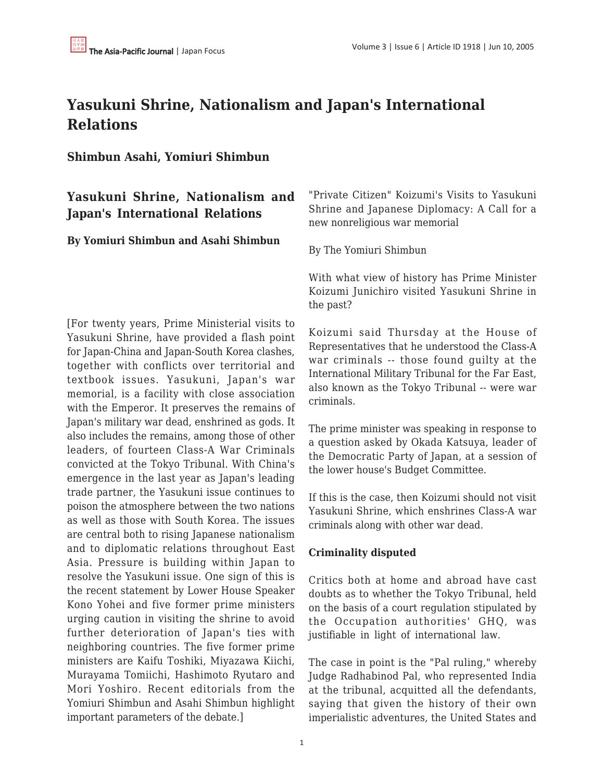# **Yasukuni Shrine, Nationalism and Japan's International Relations**

## **Shimbun Asahi, Yomiuri Shimbun**

## **Yasukuni Shrine, Nationalism and Japan's International Relations**

#### **By Yomiuri Shimbun and Asahi Shimbun**

[For twenty years, Prime Ministerial visits to Yasukuni Shrine, have provided a flash point for Japan-China and Japan-South Korea clashes, together with conflicts over territorial and textbook issues. Yasukuni, Japan's war memorial, is a facility with close association with the Emperor. It preserves the remains of Japan's military war dead, enshrined as gods. It also includes the remains, among those of other leaders, of fourteen Class-A War Criminals convicted at the Tokyo Tribunal. With China's emergence in the last year as Japan's leading trade partner, the Yasukuni issue continues to poison the atmosphere between the two nations as well as those with South Korea. The issues are central both to rising Japanese nationalism and to diplomatic relations throughout East Asia. Pressure is building within Japan to resolve the Yasukuni issue. One sign of this is the recent statement by Lower House Speaker Kono Yohei and five former prime ministers urging caution in visiting the shrine to avoid further deterioration of Japan's ties with neighboring countries. The five former prime ministers are Kaifu Toshiki, Miyazawa Kiichi, Murayama Tomiichi, Hashimoto Ryutaro and Mori Yoshiro. Recent editorials from the Yomiuri Shimbun and Asahi Shimbun highlight important parameters of the debate.]

"Private Citizen" Koizumi's Visits to Yasukuni Shrine and Japanese Diplomacy: A Call for a new nonreligious war memorial

By The Yomiuri Shimbun

With what view of history has Prime Minister Koizumi Junichiro visited Yasukuni Shrine in the past?

Koizumi said Thursday at the House of Representatives that he understood the Class-A war criminals -- those found guilty at the International Military Tribunal for the Far East, also known as the Tokyo Tribunal -- were war criminals.

The prime minister was speaking in response to a question asked by Okada Katsuya, leader of the Democratic Party of Japan, at a session of the lower house's Budget Committee.

If this is the case, then Koizumi should not visit Yasukuni Shrine, which enshrines Class-A war criminals along with other war dead.

#### **Criminality disputed**

Critics both at home and abroad have cast doubts as to whether the Tokyo Tribunal, held on the basis of a court regulation stipulated by the Occupation authorities' GHQ, was justifiable in light of international law.

The case in point is the "Pal ruling," whereby Judge Radhabinod Pal, who represented India at the tribunal, acquitted all the defendants, saying that given the history of their own imperialistic adventures, the United States and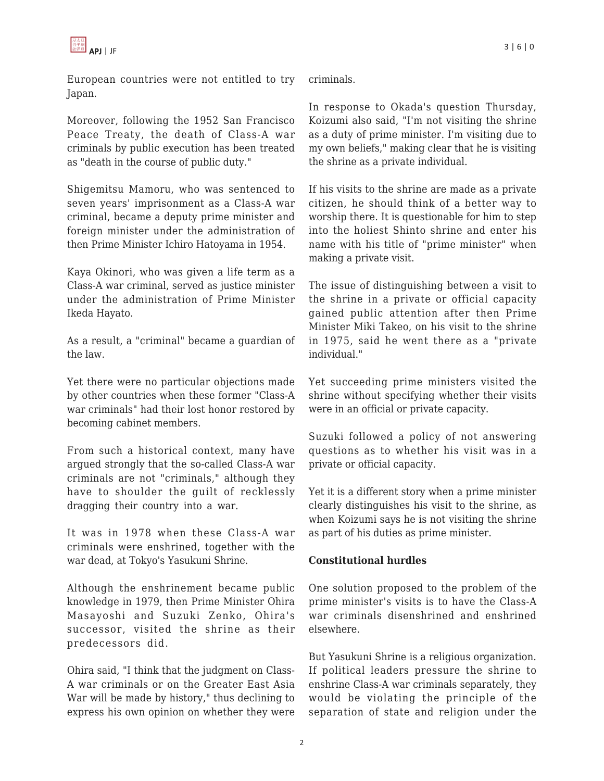European countries were not entitled to try Japan.

Moreover, following the 1952 San Francisco Peace Treaty, the death of Class-A war criminals by public execution has been treated as "death in the course of public duty."

Shigemitsu Mamoru, who was sentenced to seven years' imprisonment as a Class-A war criminal, became a deputy prime minister and foreign minister under the administration of then Prime Minister Ichiro Hatoyama in 1954.

Kaya Okinori, who was given a life term as a Class-A war criminal, served as justice minister under the administration of Prime Minister Ikeda Hayato.

As a result, a "criminal" became a guardian of the law.

Yet there were no particular objections made by other countries when these former "Class-A war criminals" had their lost honor restored by becoming cabinet members.

From such a historical context, many have argued strongly that the so-called Class-A war criminals are not "criminals," although they have to shoulder the guilt of recklessly dragging their country into a war.

It was in 1978 when these Class-A war criminals were enshrined, together with the war dead, at Tokyo's Yasukuni Shrine.

Although the enshrinement became public knowledge in 1979, then Prime Minister Ohira Masayoshi and Suzuki Zenko, Ohira's successor, visited the shrine as their predecessors did.

Ohira said, "I think that the judgment on Class-A war criminals or on the Greater East Asia War will be made by history," thus declining to express his own opinion on whether they were criminals.

In response to Okada's question Thursday, Koizumi also said, "I'm not visiting the shrine as a duty of prime minister. I'm visiting due to my own beliefs," making clear that he is visiting the shrine as a private individual.

If his visits to the shrine are made as a private citizen, he should think of a better way to worship there. It is questionable for him to step into the holiest Shinto shrine and enter his name with his title of "prime minister" when making a private visit.

The issue of distinguishing between a visit to the shrine in a private or official capacity gained public attention after then Prime Minister Miki Takeo, on his visit to the shrine in 1975, said he went there as a "private individual."

Yet succeeding prime ministers visited the shrine without specifying whether their visits were in an official or private capacity.

Suzuki followed a policy of not answering questions as to whether his visit was in a private or official capacity.

Yet it is a different story when a prime minister clearly distinguishes his visit to the shrine, as when Koizumi says he is not visiting the shrine as part of his duties as prime minister.

### **Constitutional hurdles**

One solution proposed to the problem of the prime minister's visits is to have the Class-A war criminals disenshrined and enshrined elsewhere.

But Yasukuni Shrine is a religious organization. If political leaders pressure the shrine to enshrine Class-A war criminals separately, they would be violating the principle of the separation of state and religion under the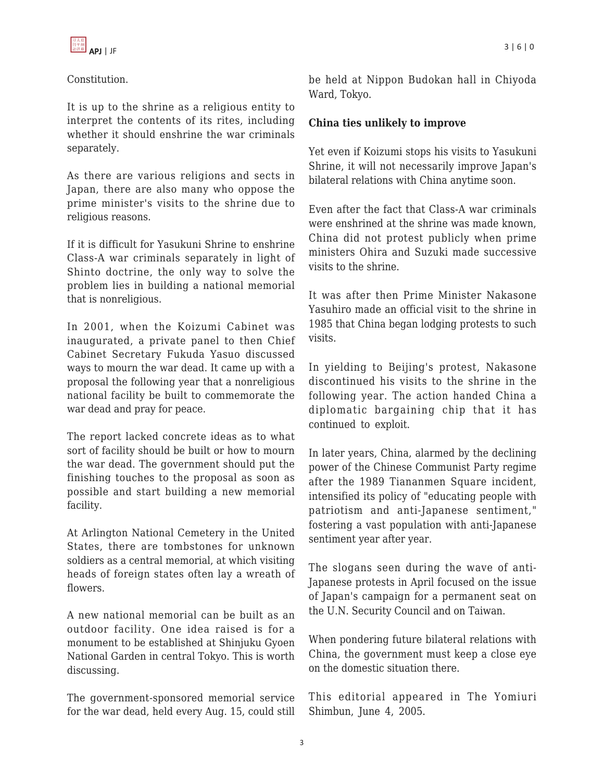## Constitution.

It is up to the shrine as a religious entity to interpret the contents of its rites, including whether it should enshrine the war criminals separately.

As there are various religions and sects in Japan, there are also many who oppose the prime minister's visits to the shrine due to religious reasons.

If it is difficult for Yasukuni Shrine to enshrine Class-A war criminals separately in light of Shinto doctrine, the only way to solve the problem lies in building a national memorial that is nonreligious.

In 2001, when the Koizumi Cabinet was inaugurated, a private panel to then Chief Cabinet Secretary Fukuda Yasuo discussed ways to mourn the war dead. It came up with a proposal the following year that a nonreligious national facility be built to commemorate the war dead and pray for peace.

The report lacked concrete ideas as to what sort of facility should be built or how to mourn the war dead. The government should put the finishing touches to the proposal as soon as possible and start building a new memorial facility.

At Arlington National Cemetery in the United States, there are tombstones for unknown soldiers as a central memorial, at which visiting heads of foreign states often lay a wreath of flowers.

A new national memorial can be built as an outdoor facility. One idea raised is for a monument to be established at Shinjuku Gyoen National Garden in central Tokyo. This is worth discussing.

The government-sponsored memorial service for the war dead, held every Aug. 15, could still be held at Nippon Budokan hall in Chiyoda Ward, Tokyo.

## **China ties unlikely to improve**

Yet even if Koizumi stops his visits to Yasukuni Shrine, it will not necessarily improve Japan's bilateral relations with China anytime soon.

Even after the fact that Class-A war criminals were enshrined at the shrine was made known, China did not protest publicly when prime ministers Ohira and Suzuki made successive visits to the shrine.

It was after then Prime Minister Nakasone Yasuhiro made an official visit to the shrine in 1985 that China began lodging protests to such visits.

In yielding to Beijing's protest, Nakasone discontinued his visits to the shrine in the following year. The action handed China a diplomatic bargaining chip that it has continued to exploit.

In later years, China, alarmed by the declining power of the Chinese Communist Party regime after the 1989 Tiananmen Square incident, intensified its policy of "educating people with patriotism and anti-Japanese sentiment," fostering a vast population with anti-Japanese sentiment year after year.

The slogans seen during the wave of anti-Japanese protests in April focused on the issue of Japan's campaign for a permanent seat on the U.N. Security Council and on Taiwan.

When pondering future bilateral relations with China, the government must keep a close eye on the domestic situation there.

This editorial appeared in The Yomiuri Shimbun, June 4, 2005.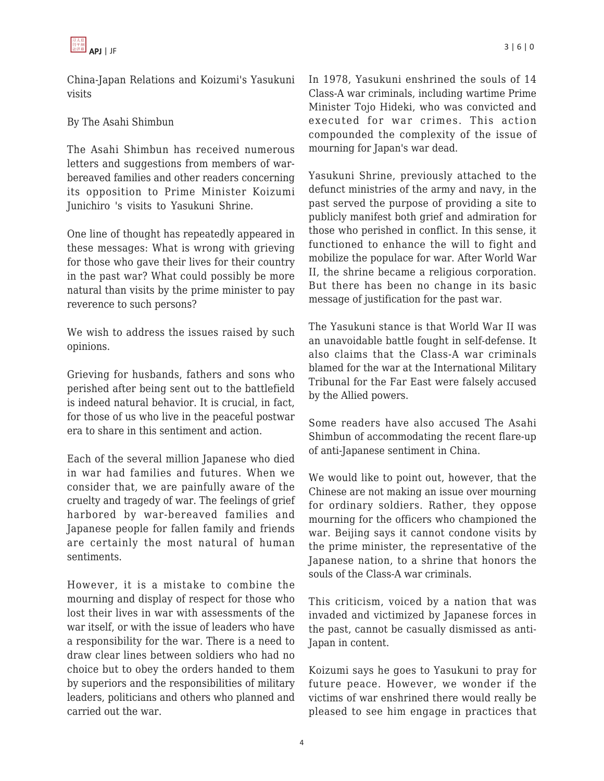China-Japan Relations and Koizumi's Yasukuni visits

## By The Asahi Shimbun

The Asahi Shimbun has received numerous letters and suggestions from members of warbereaved families and other readers concerning its opposition to Prime Minister Koizumi Junichiro 's visits to Yasukuni Shrine.

One line of thought has repeatedly appeared in these messages: What is wrong with grieving for those who gave their lives for their country in the past war? What could possibly be more natural than visits by the prime minister to pay reverence to such persons?

We wish to address the issues raised by such opinions.

Grieving for husbands, fathers and sons who perished after being sent out to the battlefield is indeed natural behavior. It is crucial, in fact, for those of us who live in the peaceful postwar era to share in this sentiment and action.

Each of the several million Japanese who died in war had families and futures. When we consider that, we are painfully aware of the cruelty and tragedy of war. The feelings of grief harbored by war-bereaved families and Japanese people for fallen family and friends are certainly the most natural of human sentiments.

However, it is a mistake to combine the mourning and display of respect for those who lost their lives in war with assessments of the war itself, or with the issue of leaders who have a responsibility for the war. There is a need to draw clear lines between soldiers who had no choice but to obey the orders handed to them by superiors and the responsibilities of military leaders, politicians and others who planned and carried out the war.

In 1978, Yasukuni enshrined the souls of 14 Class-A war criminals, including wartime Prime Minister Tojo Hideki, who was convicted and executed for war crimes. This action compounded the complexity of the issue of mourning for Japan's war dead.

Yasukuni Shrine, previously attached to the defunct ministries of the army and navy, in the past served the purpose of providing a site to publicly manifest both grief and admiration for those who perished in conflict. In this sense, it functioned to enhance the will to fight and mobilize the populace for war. After World War II, the shrine became a religious corporation. But there has been no change in its basic message of justification for the past war.

The Yasukuni stance is that World War II was an unavoidable battle fought in self-defense. It also claims that the Class-A war criminals blamed for the war at the International Military Tribunal for the Far East were falsely accused by the Allied powers.

Some readers have also accused The Asahi Shimbun of accommodating the recent flare-up of anti-Japanese sentiment in China.

We would like to point out, however, that the Chinese are not making an issue over mourning for ordinary soldiers. Rather, they oppose mourning for the officers who championed the war. Beijing says it cannot condone visits by the prime minister, the representative of the Japanese nation, to a shrine that honors the souls of the Class-A war criminals.

This criticism, voiced by a nation that was invaded and victimized by Japanese forces in the past, cannot be casually dismissed as anti-Japan in content.

Koizumi says he goes to Yasukuni to pray for future peace. However, we wonder if the victims of war enshrined there would really be pleased to see him engage in practices that